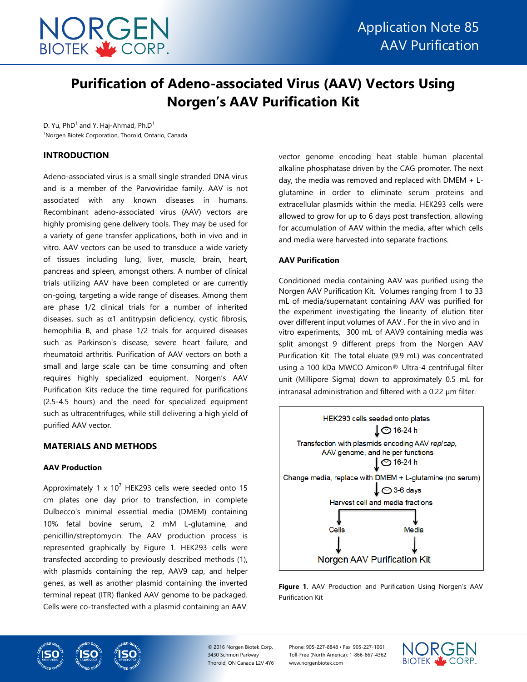

# **Purification of Adeno-associated Virus (AAV) Vectors Using Norgen's AAV Purification Kit**

D. Yu,  $PhD^1$  and Y. Haj-Ahmad, Ph.D<sup>1</sup> <sup>1</sup>Norgen Biotek Corporation, Thorold, Ontario, Canada

## **INTRODUCTION**

Adeno-associated virus is a small single stranded DNA virus and is a member of the Parvoviridae family. AAV is not associated with any known diseases in humans. Recombinant adeno-associated virus (AAV) vectors are highly promising gene delivery tools. They may be used for a variety of gene transfer applications, both in vivo and in vitro. AAV vectors can be used to transduce a wide variety of tissues including lung, liver, muscle, brain, heart, pancreas and spleen, amongst others. A number of clinical trials utilizing AAV have been completed or are currently on-going, targeting a wide range of diseases. Among them are phase 1/2 clinical trials for a number of inherited diseases, such as α1 antitrypsin deficiency, cystic fibrosis, hemophilia B, and phase 1/2 trials for acquired diseases such as Parkinson's disease, severe heart failure, and rheumatoid arthritis. Purification of AAV vectors on both a small and large scale can be time consuming and often requires highly specialized equipment. Norgen's AAV Purification Kits reduce the time required for purifications (2.5-4.5 hours) and the need for specialized equipment such as ultracentrifuges, while still delivering a high yield of purified AAV vector.

## **MATERIALS AND METHODS**

## **AAV Production**

Approximately 1 x  $10^7$  HEK293 cells were seeded onto 15 cm plates one day prior to transfection, in complete Dulbecco's minimal essential media (DMEM) containing 10% fetal bovine serum, 2 mM L-glutamine, and penicillin/streptomycin. The AAV production process is represented graphically by Figure 1. HEK293 cells were transfected according to previously described methods (1), with plasmids containing the rep, AAV9 cap, and helper genes, as well as another plasmid containing the inverted terminal repeat (ITR) flanked AAV genome to be packaged. Cells were co-transfected with a plasmid containing an AAV

vector genome encoding heat stable human placental alkaline phosphatase driven by the CAG promoter. The next day, the media was removed and replaced with DMEM  $+$  Lglutamine in order to eliminate serum proteins and extracellular plasmids within the media. HEK293 cells were allowed to grow for up to 6 days post transfection, allowing for accumulation of AAV within the media, after which cells and media were harvested into separate fractions.

## **AAV Purification**

Conditioned media containing AAV was purified using the Norgen AAV Purification Kit. Volumes ranging from 1 to 33 mL of media/supernatant containing AAV was purified for the experiment investigating the linearity of elution titer over different input volumes of AAV . For the in vivo and in vitro experiments, 300 mL of AAV9 containing media was split amongst 9 different preps from the Norgen AAV Purification Kit. The total eluate (9.9 mL) was concentrated using a 100 kDa MWCO Amicon® Ultra-4 centrifugal filter unit (Millipore Sigma) down to approximately 0.5 mL for intranasal administration and filtered with a 0.22 µm filter.



**Figure 1**. AAV Production and Purification Using Norgen's AAV Purification Kit



© 2016 Norgen Biotek Corp. 3430 Schmon Parkway Thorold, ON Canada L2V 4Y6 Phone: 905-227-8848 • Fax: 905-227-1061 Toll-Free (North America): 1-866-667-4362 www.norgenbiotek.com

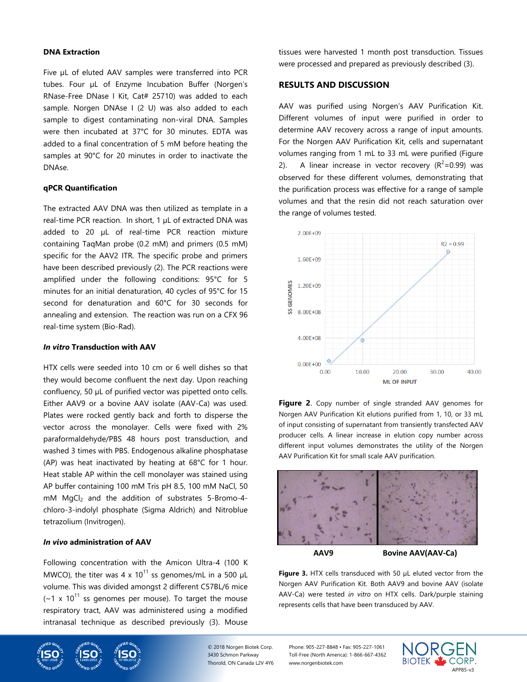#### **DNA Extraction**

Five µL of eluted AAV samples were transferred into PCR tubes. Four µL of Enzyme Incubation Buffer (Norgen's RNase-Free DNase I Kit, Cat# 25710) was added to each sample. Norgen DNAse I (2 U) was also added to each sample to digest contaminating non-viral DNA. Samples were then incubated at 37°C for 30 minutes. EDTA was added to a final concentration of 5 mM before heating the samples at 90°C for 20 minutes in order to inactivate the DNAse.

#### **qPCR Quantification**

The extracted AAV DNA was then utilized as template in a real-time PCR reaction. In short, 1 µL of extracted DNA was added to 20 µL of real-time PCR reaction mixture containing TaqMan probe (0.2 mM) and primers (0.5 mM) specific for the AAV2 ITR. The specific probe and primers have been described previously (2). The PCR reactions were amplified under the following conditions: 95°C for 5 minutes for an initial denaturation, 40 cycles of 95°C for 15 second for denaturation and 60°C for 30 seconds for annealing and extension. The reaction was run on a CFX 96 real-time system (Bio-Rad).

#### *In vitro* **Transduction with AAV**

HTX cells were seeded into 10 cm or 6 well dishes so that they would become confluent the next day. Upon reaching confluency, 50 µL of purified vector was pipetted onto cells. Either AAV9 or a bovine AAV isolate (AAV-Ca) was used. Plates were rocked gently back and forth to disperse the vector across the monolayer. Cells were fixed with 2% paraformaldehyde/PBS 48 hours post transduction, and washed 3 times with PBS. Endogenous alkaline phosphatase (AP) was heat inactivated by heating at 68°C for 1 hour. Heat stable AP within the cell monolayer was stained using AP buffer containing 100 mM Tris pH 8.5, 100 mM NaCl, 50 mM MgCl<sub>2</sub> and the addition of substrates 5-Bromo-4chloro-3-indolyl phosphate (Sigma Aldrich) and Nitroblue tetrazolium (Invitrogen).

# *In vivo* **administration of AAV**

Following concentration with the Amicon Ultra-4 (100 K MWCO), the titer was 4 x  $10^{11}$  ss genomes/mL in a 500 µL volume. This was divided amongst 2 different C57BL/6 mice  $(-1 \times 10^{11}$  ss genomes per mouse). To target the mouse respiratory tract, AAV was administered using a modified intranasal technique as described previously (3). Mouse



# **RESULTS AND DISCUSSION**

AAV was purified using Norgen's AAV Purification Kit. Different volumes of input were purified in order to determine AAV recovery across a range of input amounts. For the Norgen AAV Purification Kit, cells and supernatant volumes ranging from 1 mL to 33 mL were purified (Figure 2). A linear increase in vector recovery  $(R^2=0.99)$  was observed for these different volumes, demonstrating that the purification process was effective for a range of sample volumes and that the resin did not reach saturation over the range of volumes tested.



**Figure 2**. Copy number of single stranded AAV genomes for Norgen AAV Purification Kit elutions purified from 1, 10, or 33 mL of input consisting of supernatant from transiently transfected AAV producer cells. A linear increase in elution copy number across different input volumes demonstrates the utility of the Norgen AAV Purification Kit for small scale AAV purification.



**AAV9 Bovine AAV(AAV-Ca)**

**Figure 3.** HTX cells transduced with 50 µL eluted vector from the Norgen AAV Purification Kit. Both AAV9 and bovine AAV (isolate AAV-Ca) were tested *in vitro* on HTX cells. Dark/purple staining represents cells that have been transduced by AAV.





© 2018 Norgen Biotek Corp. 3430 Schmon Parkway Thorold, ON Canada L2V 4Y6 Phone: 905-227-8848 • Fax: 905-227-1061 Toll-Free (North America): 1-866-667-4362 www.norgenbiotek.com